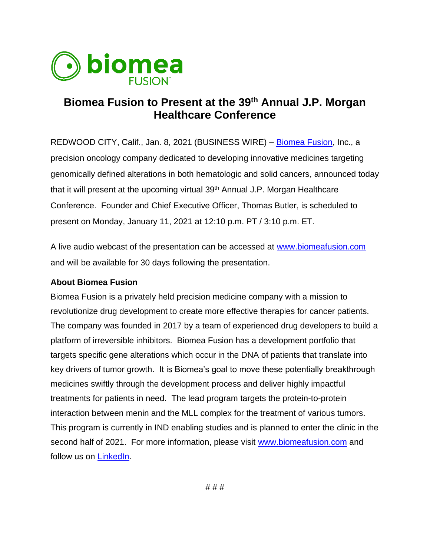

## **Biomea Fusion to Present at the 39th Annual J.P. Morgan Healthcare Conference**

REDWOOD CITY, Calif., Jan. 8, 2021 (BUSINESS WIRE) – [Biomea Fusion,](https://www.biomeafusion.com/) Inc., a precision oncology company dedicated to developing innovative medicines targeting genomically defined alterations in both hematologic and solid cancers, announced today that it will present at the upcoming virtual 39<sup>th</sup> Annual J.P. Morgan Healthcare Conference. Founder and Chief Executive Officer, Thomas Butler, is scheduled to present on Monday, January 11, 2021 at 12:10 p.m. PT / 3:10 p.m. ET.

A live audio webcast of the presentation can be accessed at [www.biomeafusion.com](http://www.biomeafusion.com/) and will be available for 30 days following the presentation.

## **About Biomea Fusion**

Biomea Fusion is a privately held precision medicine company with a mission to revolutionize drug development to create more effective therapies for cancer patients. The company was founded in 2017 by a team of experienced drug developers to build a platform of irreversible inhibitors. Biomea Fusion has a development portfolio that targets specific gene alterations which occur in the DNA of patients that translate into key drivers of tumor growth. It is Biomea's goal to move these potentially breakthrough medicines swiftly through the development process and deliver highly impactful treatments for patients in need. The lead program targets the protein-to-protein interaction between menin and the MLL complex for the treatment of various tumors. This program is currently in IND enabling studies and is planned to enter the clinic in the second half of 2021. For more information, please visit [www.biomeafusion.com](http://www.biomeafusion.com/) and follow us on [LinkedIn.](https://www.linkedin.com/company/biomeafusion)